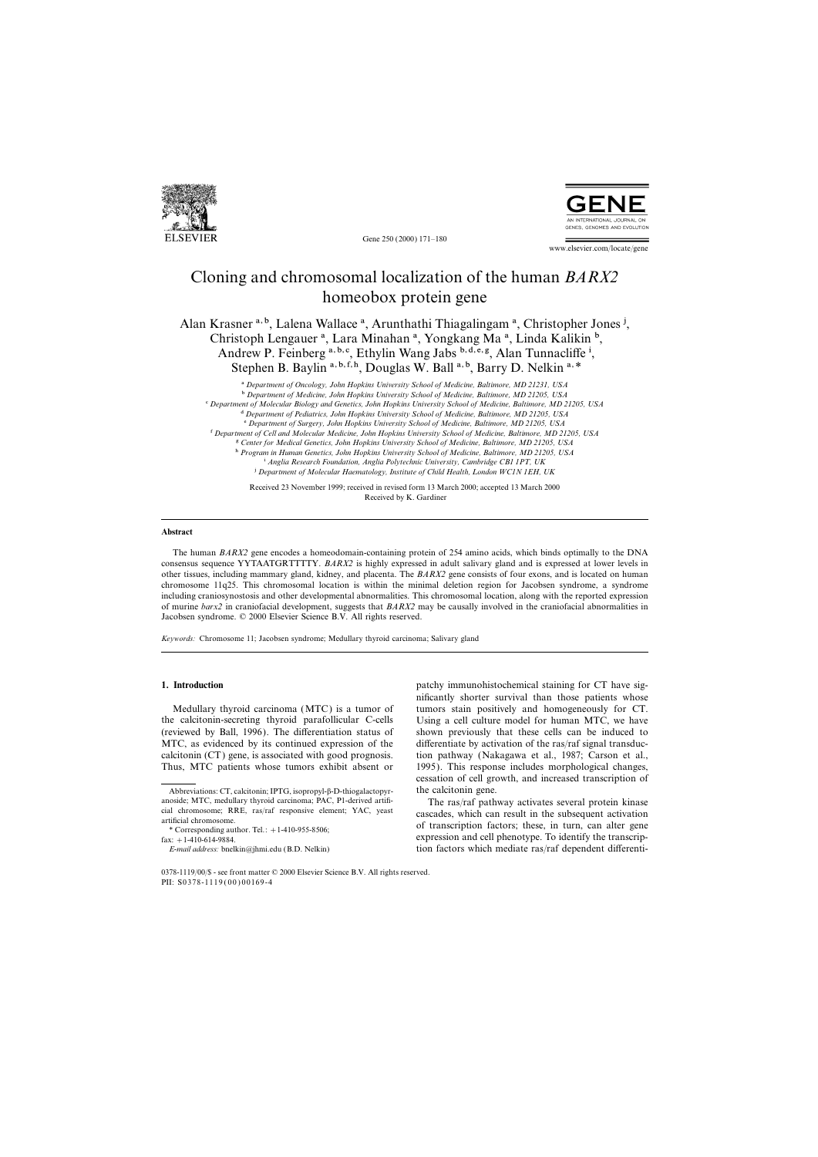

Gene 250 (2000) 171–180



www.elsevier.com/locate/gene

# Cloning and chromosomal localization of the human *BARX2* homeobox protein gene

Alan Krasner a, b, Lalena Wallace <sup>a</sup>, Arunthathi Thiagalingam <sup>a</sup>, Christopher Jones <sup>j</sup>, Christoph Lengauer<sup>a</sup>, Lara Minahan<sup>a</sup>, Yongkang Ma<sup>a</sup>, Linda Kalikin<sup>b</sup>, Andrew P. Feinberg a, b, c, Ethylin Wang Jabs b, d, e, g, Alan Tunnacliffe i, Stephen B. Baylin<sup>a, b, f, h</sup>, Douglas W. Ball<sup>a, b</sup>, Barry D. Nelkin<sup>a, \*</sup>

a *Department of Oncology, John Hopkins University School of Medicine, Baltimore, MD 21231, USA*

b *Department of Medicine, John Hopkins University School of Medicine, Baltimore, MD 21205, USA*

c *Department of Molecular Biology and Genetics, John Hopkins University School of Medicine, Baltimore, MD 21205, USA*

d *Department of Pediatrics, John Hopkins University School of Medicine, Baltimore, MD 21205, USA*

e *Department of Surgery, John Hopkins University School of Medicine, Baltimore, MD 21205, USA*

f *Department of Cell and Molecular Medicine, John Hopkins University School of Medicine, Baltimore, MD 21205, USA*

g *Center for Medical Genetics, John Hopkins University School of Medicine, Baltimore, MD 21205, USA*

h *Program in Human Genetics, John Hopkins University School of Medicine, Baltimore, MD 21205, USA* i *Anglia Research Foundation, Anglia Polytechnic University, Cambridge CB1 1PT, UK*

j *Department of Molecular Haematology, Institute of Child Health, London WC1N 1EH, UK*

Received 23 November 1999; received in revised form 13 March 2000; accepted 13 March 2000 Received by K. Gardiner

## **Abstract**

The human *BARX2* gene encodes a homeodomain-containing protein of 254 amino acids, which binds optimally to the DNA consensus sequence YYTAATGRTTTTY. *BARX2* is highly expressed in adult salivary gland and is expressed at lower levels in other tissues, including mammary gland, kidney, and placenta. The *BARX2* gene consists of four exons, and is located on human chromosome 11q25. This chromosomal location is within the minimal deletion region for Jacobsen syndrome, a syndrome including craniosynostosis and other developmental abnormalities. This chromosomal location, along with the reported expression of murine *barx2* in craniofacial development, suggests that *BARX2* may be causally involved in the craniofacial abnormalities in Jacobsen syndrome. © 2000 Elsevier Science B.V. All rights reserved.

*Keywords:* Chromosome 11; Jacobsen syndrome; Medullary thyroid carcinoma; Salivary gland

the calcitonin-secreting thyroid parafollicular C-cells Using a cell culture model for human MTC, we have (reviewed by Ball, 1996). The differentiation status of shown previously that these cells can be induced to MTC, as evidenced by its continued expression of the differentiate by activation of the ras/raf signal transduccalcitonin (CT) gene, is associated with good prognosis. tion pathway (Nakagawa et al., 1987; Carson et al., Thus, MTC patients whose tumors exhibit absent or 1995). This response includes morphological changes,

**1. Introduction 1. Introduction** patchy immunohistochemical staining for CT have significantly shorter survival than those patients whose Medullary thyroid carcinoma (MTC) is a tumor of tumors stain positively and homogeneously for CT. cessation of cell growth, and increased transcription of

cal chromosome; KRE, ras/rat responsive element; YAC, yeast<br>artificial chromosome.<br>External chromosome.<br>cascades, which can result in the subsequent activation<br>of transcription factors; these, in turn, can alter gene<br>fax: *E-mail address:* bnelkin@jhmi.edu (B.D. Nelkin) tion factors which mediate ras/raf dependent differenti-

Abbreviations: CT, calcitonin; IPTG, isopropyl-b-D-thiogalactopyr- the calcitonin gene. anoside; MTC, medullary thyroid carcinoma; PAC, P1-derived artifi-<br>
cial chromosome; RRE, ras/raf responsive element; YAC, yeast<br>
cascades which can result in the subsequent activation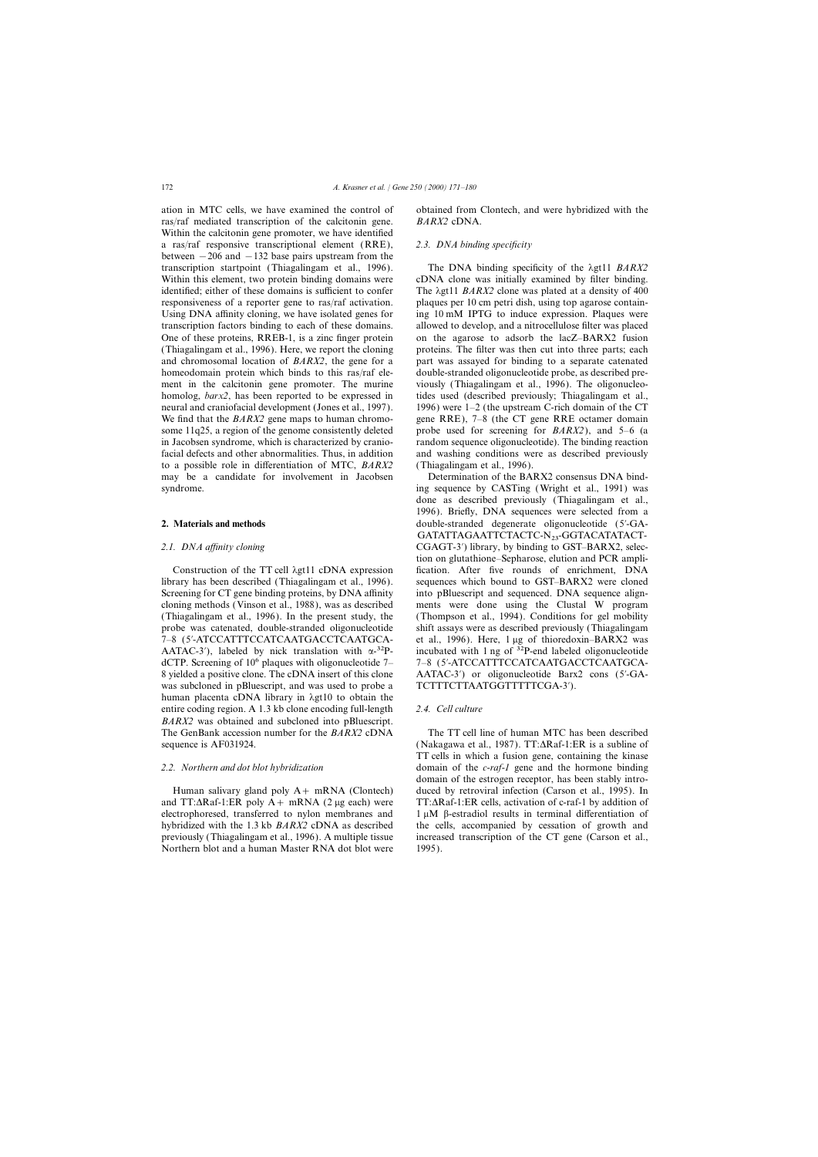ras/raf mediated transcription of the calcitonin gene. *BARX2* cDNA. Within the calcitonin gene promoter, we have identified a ras/raf responsive transcriptional element (RRE), *2.3. DNA binding specificity* between  $-206$  and  $-132$  base pairs upstream from the transcription startpoint (Thiagalingam et al., 1996). The DNA binding specificity of the lgt11 *BARX2* Within this element, two protein binding domains were cDNA clone was initially examined by filter binding. identified; either of these domains is sufficient to confer The  $\lambda$ gt11 *BARX2* clone was plated at a density of 400 responsiveness of a reporter gene to ras/raf activation. plaques per 10 cm petri dish, using top agarose contain-Using DNA affinity cloning, we have isolated genes for ing 10 mM IPTG to induce expression. Plaques were transcription factors binding to each of these domains. allowed to develop, and a nitrocellulose filter was placed One of these proteins, RREB-1, is a zinc finger protein on the agarose to adsorb the lacZ–BARX2 fusion (Thiagalingam et al., 1996). Here, we report the cloning proteins. The filter was then cut into three parts; each and chromosomal location of *BARX2*, the gene for a part was assayed for binding to a separate catenated homeodomain protein which binds to this ras/raf ele-<br>double-stranded oligonucleotide probe, as described prement in the calcitonin gene promoter. The murine viously (Thiagalingam et al., 1996). The oligonucleohomolog, *barx2*, has been reported to be expressed in tides used (described previously; Thiagalingam et al., neural and craniofacial development (Jones et al., 1997). 1996) were 1–2 (the upstream C-rich domain of the CT We find that the *BARX2* gene maps to human chromo- gene RRE), 7–8 (the CT gene RRE octamer domain some 11q25, a region of the genome consistently deleted probe used for screening for *BARX2*), and 5–6 (a in Jacobsen syndrome, which is characterized by cranio- random sequence oligonucleotide). The binding reaction facial defects and other abnormalities. Thus, in addition and washing conditions were as described previously to a possible role in differentiation of MTC, *BARX2* (Thiagalingam et al., 1996). may be a candidate for involvement in Jacobsen Determination of the BARX2 consensus DNA bind-

library has been described (Thiagalingam et al., 1996). sequences which bound to GST–BARX2 were cloned Screening for CT gene binding proteins, by DNA affinity into pBluescript and sequenced. DNA sequence aligncloning methods (Vinson et al., 1988), was as described ments were done using the Clustal W program (Thiagalingam et al., 1996). In the present study, the (Thompson et al., 1994). Conditions for gel mobility probe was catenated, double-stranded oligonucleotide shift assays were as described previously (Thiagalingam 7–8 (5′-ATCCATTTCCATCAATGACCTCAATGCA-<br>AATAC-3′), labeled by nick translation with  $\alpha$ -<sup>32</sup>P-<br>incubated with 1 ng of <sup>32</sup>P-end labeled oligonucleotide AATAC-3<sup>'</sup>), labeled by nick translation with  $\alpha$ -<sup>32</sup>PdCTP. Screening of 106 plaques with oligonucleotide 7– 7–8 (5∞-ATCCATTTCCATCAATGACCTCAATGCA-8 yielded a positive clone. The cDNA insert of this clone AATAC-3′) or oligonucleotide Barx2 cons (5′-GAwas subcloned in pBluescript, and was used to probe a TCTTTCTTAATGGTTTTTCGA-3'). human placenta cDNA library in  $\lambda$ gt10 to obtain the entire coding region. A 1.3 kb clone encoding full-length *2.4. Cell culture BARX2* was obtained and subcloned into pBluescript. The GenBank accession number for the *BARX2* cDNA The TT cell line of human MTC has been described sequence is AF031924. (Nakagawa et al., 1987). TT: $\triangle$ Raf-1:ER is a subline of

and TT: $\Delta$ Raf-1:ER poly A + mRNA (2 µg each) were TT: $\Delta$ Raf-1:ER cells, activation of c-raf-1 by addition of electrophoresed, transferred to nylon membranes and  $1 \mu M$   $\beta$ -estradiol results in terminal differentiation of hybridized with the 1.3 kb *BARX2* cDNA as described the cells, accompanied by cessation of growth and previously (Thiagalingam et al., 1996). A multiple tissue increased transcription of the CT gene (Carson et al., Northern blot and a human Master RNA dot blot were 1995).

ation in MTC cells, we have examined the control of obtained from Clontech, and were hybridized with the

syndrome. ing sequence by CASTing (Wright et al., 1991) was done as described previously (Thiagalingam et al., 1996). Briefly, DNA sequences were selected from a **2. Materials and methods** double-stranded degenerate oligonucleotide (5<sup>'</sup>-GA-GATATTAGAATTCTACTC-N<sub>23</sub>-GGTACATATACT-2.1. *DNA affinity cloning* CGAGT-3<sup>γ</sup>) library, by binding to GST–BARX2, selection on glutathione–Sepharose, elution and PCR ampli-Construction of the TT cell  $\lambda$ gt11 cDNA expression fication. After five rounds of enrichment, DNA

TT cells in which a fusion gene, containing the kinase *2.2. Northern and dot blot hybridization* domain of the *c-raf-1* gene and the hormone binding domain of the estrogen receptor, has been stably intro-Human salivary gland poly A+ mRNA (Clontech) duced by retroviral infection (Carson et al., 1995). In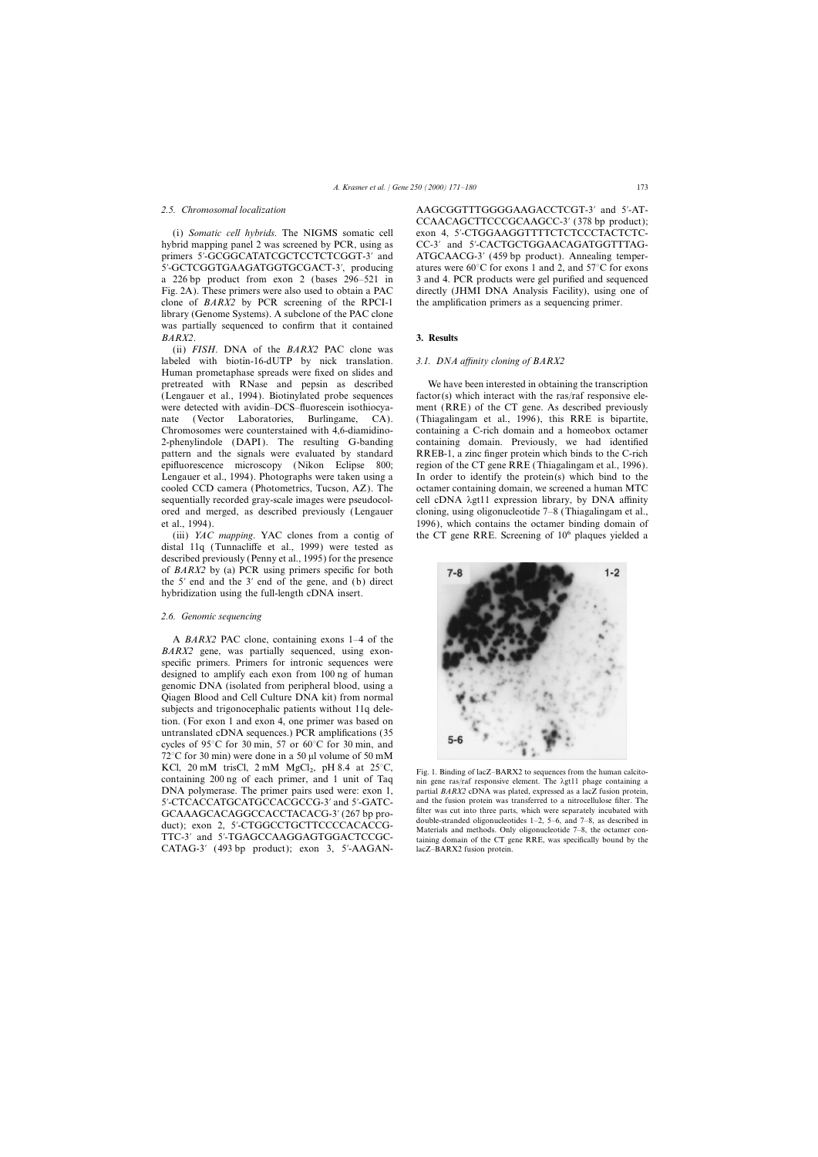hybrid mapping panel 2 was screened by PCR, using as CC-3′ and 5′-CACTGCTGGAACAGATGGTTTAGprimers 5′-GCGGCATATCGCTCCTCTCGGT-3′ and ATGCAACG-3′ (459 bp product). Annealing temper-5′-GCTCGGTGAAGATGGTGCGACT-3′, producing atures were 60°C for exons 1 and 2, and 57°C for exons a 226 bp product from exon 2 (bases 296–521 in 3 and 4. PCR products were gel purified and sequenced Fig. 2A). These primers were also used to obtain a PAC directly (JHMI DNA Analysis Facility), using one of clone of *BARX2* by PCR screening of the RPCI-1 the amplification primers as a sequencing primer. library (Genome Systems). A subclone of the PAC clone was partially sequenced to confirm that it contained *BARX2*. **3. Results**

(ii) *FISH*. DNA of the *BARX2* PAC clone was labeled with biotin-16-dUTP by nick translation. *3.1. DNA affinity cloning of BARX2* Human prometaphase spreads were fixed on slides and pretreated with RNase and pepsin as described We have been interested in obtaining the transcription (Lengauer et al., 1994). Biotinylated probe sequences factor(s) which interact with the ras/raf responsive elewere detected with avidin–DCS–fluorescein isothiocya- ment (RRE) of the CT gene. As described previously nate (Vector Laboratories, Burlingame, CA). (Thiagalingam et al., 1996), this RRE is bipartite, Chromosomes were counterstained with 4,6-diamidino- containing a C-rich domain and a homeobox octamer 2-phenylindole (DAPI). The resulting G-banding containing domain. Previously, we had identified pattern and the signals were evaluated by standard RREB-1, a zinc finger protein which binds to the C-rich epifluorescence microscopy (Nikon Eclipse 800; region of the CT gene RRE (Thiagalingam et al., 1996). Lengauer et al., 1994). Photographs were taken using a In order to identify the protein(s) which bind to the cooled CCD camera (Photometrics, Tucson, AZ). The octamer containing domain, we screened a human MTC sequentially recorded gray-scale images were pseudocol- cell cDNA  $\lambda$ gt11 expression library, by DNA affinity ored and merged, as described previously (Lengauer cloning, using oligonucleotide 7–8 (Thiagalingam et al., et al., 1994). 1996), which contains the octamer binding domain of

distal 11q (Tunnacliffe et al., 1999) were tested as described previously (Penny et al., 1995) for the presence of *BARX2* by (a) PCR using primers specific for both the 5∞ end and the 3∞ end of the gene, and (b) direct hybridization using the full-length cDNA insert.

# *2.6. Genomic sequencing*

A *BARX2* PAC clone, containing exons 1–4 of the *BARX2* gene, was partially sequenced, using exonspecific primers. Primers for intronic sequences were designed to amplify each exon from 100 ng of human genomic DNA (isolated from peripheral blood, using a Qiagen Blood and Cell Culture DNA kit) from normal subjects and trigonocephalic patients without 11q deletion. (For exon 1 and exon 4, one primer was based on untranslated cDNA sequences.) PCR amplifications (35 cycles of 95°C for 30 min, 57 or 60°C for 30 min, and  $72^{\circ}$ C for 30 min) were done in a 50 µl volume of 50 mM KCl, 20 mM trisCl, 2 mM  $MgCl<sub>2</sub>$ , pH 8.4 at 25 $^{\circ}$ C, EXCI, 20 mM THSCI, 2 mM MgCI<sub>2</sub>, pH 8.4 at 25°C, Fig. 1. Binding of lacZ–BARX2 to sequences from the human calcito-<br>containing 200 ng of each primer, and 1 unit of Taq nin gene ras/raf responsive element. The  $\lambda$ gt11 pha 5'-CTCACCATGCATGCCACGCCG-3' and 5'-GATC-<br>
GCA A AGCACACGCCACCTACACG-3′ (267 bp pro-filter was cut into three parts, which were separately incubated with GCAAAGCACAGGCCACCTACACG-3' (267 bp pro-<br>duble-stranded oligonucleotides 1-2, 5-6, and 7-8, as described in<br>duct); exon 2, 5'-CTGGCCTGCTTCCCCACACCG-<br>Materials and methods. Only oligonucleotide 7-8, the octamer con-TTC-3′ and 5′-TGAGCCAAGGAGTGGACTCCGC-<br>taining domain of the CT gene RRE, was specifically bound by the CATAG-3′ (493 bp product); exon 3, 5′-AAGAN- lacZ–BARX2 fusion protein.

*2.5. Chromosomal localization* AAGCGGTTTGGGGAAGACCTCGT-3∞ and 5∞-AT-CCAACAGCTTCCCGCAAGCC-3' (378 bp product); (i) *Somatic cell hybrids*. The NIGMS somatic cell exon 4, 5∞-CTGGAAGGTTTTCTCTCCCTACTCTC-

(iii) *YAC mapping*. YAC clones from a contig of the CT gene RRE. Screening of 106 plaques yielded a



partial *BARX2* cDNA was plated, expressed as a lacZ fusion protein,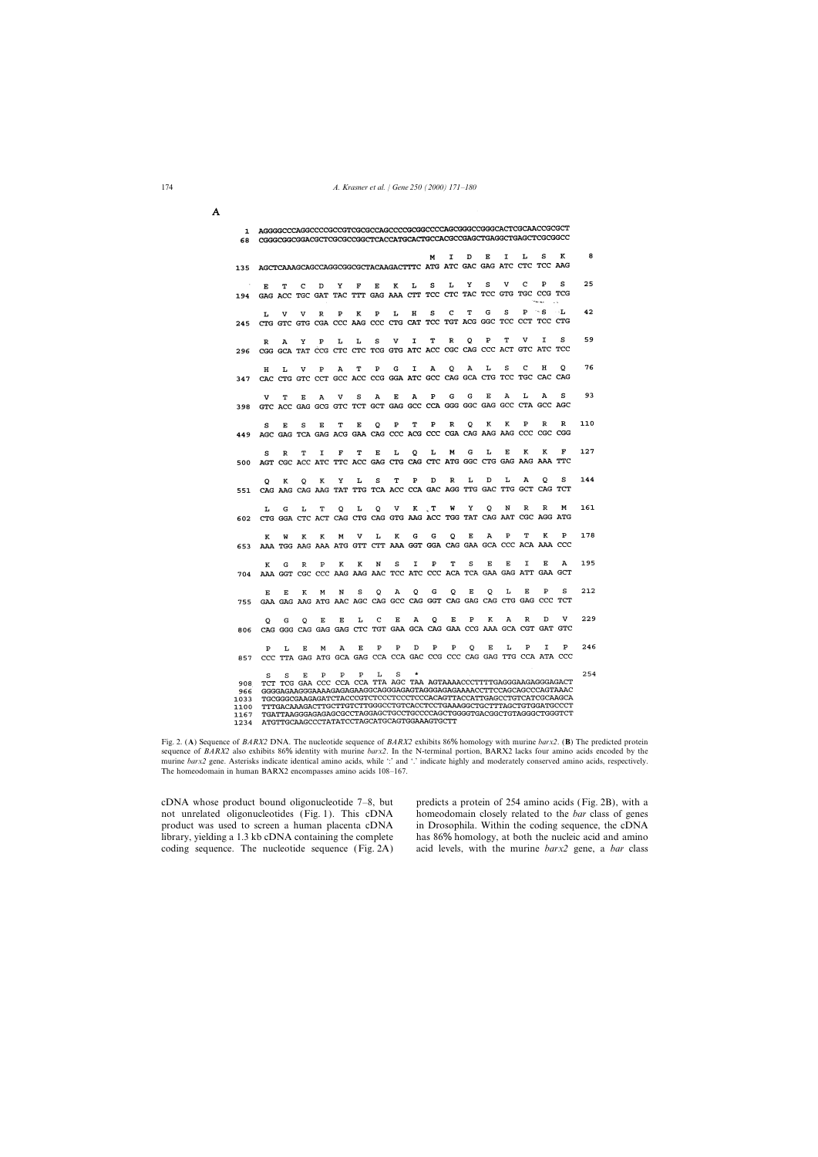$\overline{\mathbf{A}}$ 

| 1<br>68                                    |    | AGGGGCCCAGGCCCCGCCGTCGCGCCAGCCCCGCGGCCCCAGCGGCCCGGGCACTCGCAACCGCGCT<br>CGGGCGGCGGACGCTCGCGCCGGCTCACCATGCACTGCCACGCCGAGCTGAGGCTGAGCTCGCGGCC                                                                                                                                                                                                                                                                                                                                                                                     |   |   |   |   |   |              |   |              |             |             |                         |              |              |                                                                                     |                                                                          |     |
|--------------------------------------------|----|--------------------------------------------------------------------------------------------------------------------------------------------------------------------------------------------------------------------------------------------------------------------------------------------------------------------------------------------------------------------------------------------------------------------------------------------------------------------------------------------------------------------------------|---|---|---|---|---|--------------|---|--------------|-------------|-------------|-------------------------|--------------|--------------|-------------------------------------------------------------------------------------|--------------------------------------------------------------------------|-----|
|                                            |    |                                                                                                                                                                                                                                                                                                                                                                                                                                                                                                                                |   |   |   |   |   |              |   | M            | I           | D           | Е                       | $\mathbf{I}$ | L            | s                                                                                   | ĸ                                                                        | 8   |
| 135                                        |    |                                                                                                                                                                                                                                                                                                                                                                                                                                                                                                                                |   |   |   |   |   |              |   |              |             |             |                         |              |              | AGCTCAAAGCAGCCAGGCGGCGCTACAAGACTTTC ATG ATC GAC GAG ATC CTC TCC AAG                 |                                                                          |     |
| 194                                        | E  | т                                                                                                                                                                                                                                                                                                                                                                                                                                                                                                                              | c | D | Y | F | Е | ĸ            | L | s            | L           | Y           | S                       | v            | c            | P<br>GAG ACC TGC GAT TAC TTT GAG AAA CTT TCC CTC TAC TCC GTG TGC CCG TCG            | s                                                                        | 25  |
| 245                                        | L  | v                                                                                                                                                                                                                                                                                                                                                                                                                                                                                                                              | v | R | P | K | P | L            | н | S            | c           | т           | G                       | s            | P            | — S<br>CTG GTC GTG CGA CCC AAG CCC CTG CAT TCC TGT ACG GGC TCC CCT TCC CTG          | $\cdot \cdot \mathbf{L}$                                                 | 42  |
| 296                                        | R  | А                                                                                                                                                                                                                                                                                                                                                                                                                                                                                                                              | Y | P | Ŀ | L | s | v            | I | т            | R           | о           | $\mathbf{P}$            | T            | v            | I<br>CGG GCA TAT CCG CTC CTC TCG GTG ATC ACC CGC CAG CCC ACT GTC ATC TCC            | s                                                                        | 59  |
| 347                                        | н  | L                                                                                                                                                                                                                                                                                                                                                                                                                                                                                                                              | v | P | A | т | P | G            | I | А            | Q           | Α           | L                       | S            | C            | н<br>CAC CTG GTC CCT GCC ACC CCG GGA ATC GCC CAG GCA CTG TCC TGC CAC CAG            | Q                                                                        | 76  |
| 398                                        |    | т                                                                                                                                                                                                                                                                                                                                                                                                                                                                                                                              | E | A | v | S | A | E            | A | $\mathbf{P}$ | G           | G           | Е                       | A            | L            | A<br>GTC ACC GAG GCG GTC TCT GCT GAG GCC CCA GGG GGC GAG GCC CTA GCC AGC            | s                                                                        | 93  |
| 449                                        | S  | E                                                                                                                                                                                                                                                                                                                                                                                                                                                                                                                              | s | Е | T | Е | o | $\mathbf{P}$ | T | P            | R           | Q           | K                       | ĸ            | P            | R                                                                                   | R                                                                        | 110 |
| 500                                        | S  | R                                                                                                                                                                                                                                                                                                                                                                                                                                                                                                                              | Ͳ | I | F | т | E | L            | Q | L            | м           | G           | L                       | Е            | к            | ĸ<br>AGT CGC ACC ATC TTC ACC GAG CTG CAG CTC ATG GGC CTG GAG AAG AAA TTC            | F                                                                        | 127 |
| 551                                        | Q  | ĸ                                                                                                                                                                                                                                                                                                                                                                                                                                                                                                                              | o | к | Υ | L | s | т            | P | D            | R           | L           | D                       | L            | А            | o<br>CAG AAG CAG AAG TAT TTG TCA ACC CCA GAC AGG TTG GAC TTG GCT CAG TCT            | s                                                                        | 144 |
| 602                                        | L  | G                                                                                                                                                                                                                                                                                                                                                                                                                                                                                                                              | L | т | Q | г | Q | v            | K | T            | W           | Y           | Q                       | N            | R            | R<br>CTG GGA CTC ACT CAG CTG CAG GTG AAG ACC TGG TAT CAG AAT CGC AGG ATG            | M                                                                        | 161 |
| 653                                        | K  | w                                                                                                                                                                                                                                                                                                                                                                                                                                                                                                                              | к | ĸ | M | v | L | K            | G | G            | $\mathbf Q$ | $\mathbf E$ | $\overline{\mathbf{A}}$ | P            | т            | K<br>AAA TGG AAG AAA ATG GTT CTT AAA GGT GGA CAG GAA GCA CCC ACA AAA CCC            | P                                                                        | 178 |
| 704                                        | K  | G                                                                                                                                                                                                                                                                                                                                                                                                                                                                                                                              | R | P | K | ĸ | N | s            | I | P            | т           | S           | Е                       | E            | I            | E<br>AAA GGT CGC CCC AAG AAG AAC TCC ATC CCC ACA TCA GAA GAG ATT GAA GCT            | A                                                                        | 195 |
| 755                                        | F. | E                                                                                                                                                                                                                                                                                                                                                                                                                                                                                                                              | к | м | N | s | o | А            | o | G            | Q           | Е           | $\circ$                 | г            | E            | $\mathbf{P}$<br>GAA GAG AAG ATG AAC AGC CAG GCC CAG GGT CAG GAG CAG CTG GAG CCC TCT | s                                                                        | 212 |
| 806                                        | o  | G                                                                                                                                                                                                                                                                                                                                                                                                                                                                                                                              | o | E | Ε | L | c | Е            | А | Q            | Е           | P           | К                       | А            | R            | D                                                                                   | v<br>CAG GGG CAG GAG GAG CTC TGT GAA GCA CAG GAA CCG AAA GCA CGT GAT GTC | 229 |
| 857                                        | P  | L                                                                                                                                                                                                                                                                                                                                                                                                                                                                                                                              | E | М | А | Е | P | P            | D | P            | P           | o           | Е                       | L            | $\mathbf{P}$ | I                                                                                   | P                                                                        | 246 |
| 908<br>966<br>LO33<br>L100<br>L167<br>1921 | s  | CCC TTA GAG ATG GCA GAG CCA CCA GAC CCG CCC CAG GAG TTG CCA ATA CCC<br>г<br>s<br>P<br>P<br>P<br>s<br>Е<br>TCT TCG GAA CCC CCA CCA TTA AGC TAA AGTAAAACCCTTTTGAGGGAAGAGGGAGACT<br>GGGGAGAAGGGAAAAGAGAGAGGCAGGGAGAGTAGGGAGAGAAAACCTTCCAGCAGCCCAGTAAAC<br>TGCGGGCGAAGAGATCTACCCGTCTCCCTCCCTCCCACAGTTACCATTGAGCCTGTCATCGCAAGCA<br>TTTGACAAAGACTTGCTTGTCTTGGGCCTGTCACCTCCTGAAAGGCTGCTTTAGCTGTGGATGCCCT<br>TGATTAAGGGAGAGAGCGCCTAGGAGCTGCCTGCCCAGCTGGGGTGACGGCTGTAGGGCTGGGTCT<br><b>ATCTTCCAACCCCTATATATCCTAGCATGCAGTGGAAAGTGCTT</b> |   |   |   |   |   |              |   |              |             |             |                         |              |              | 254                                                                                 |                                                                          |     |

Fig. 2. (**A**) Sequence of *BARX2* DNA. The nucleotide sequence of *BARX2* exhibits 86% homology with murine *barx2*. (**B**) The predicted protein sequence of *BARX2* also exhibits 86% identity with murine *barx2*. In the N-terminal portion, BARX2 lacks four amino acids encoded by the murine *barx2* gene. Asterisks indicate identical amino acids, while ':' and '.' indicate highly and moderately conserved amino acids, respectively. The homeodomain in human BARX2 encompasses amino acids 108–167.

not unrelated oligonucleotides (Fig. 1). This cDNA homeodomain closely related to the *bar* class of genes product was used to screen a human placenta cDNA in Drosophila. Within the coding sequence, the cDNA library, yielding a 1.3 kb cDNA containing the complete has 86% homology, at both the nucleic acid and amino

cDNA whose product bound oligonucleotide 7–8, but predicts a protein of 254 amino acids (Fig. 2B), with a coding sequence. The nucleotide sequence (Fig. 2A) acid levels, with the murine *barx2* gene, a *bar* class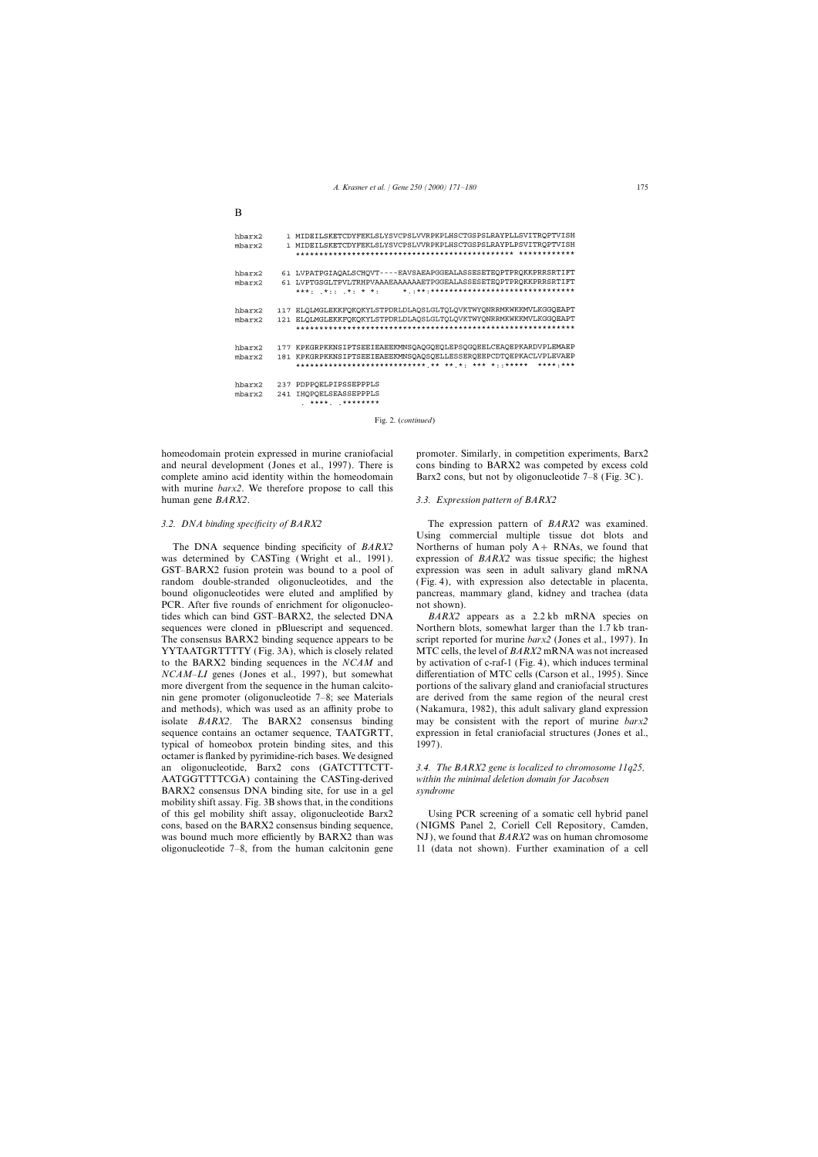```
1 MIDEILSKETCDYFEKLSLYSVCPSLVVRPKPLHSCTGSPSLRAYPLLSVITRQPTVISH
hbarx2
        1 MIDEILSKETCDYFEKLSLYSVCPSLVVRPKPLHSCTGSPSLRAYPLPSVITRQPTVISH
mbarx261 LVPATPGIAQALSCHQVT----EAVSAEAPGGEALASSESETEQPTPRQKKPRRSRTIFT
hbarx2
       61 LVPTGSGLTPVLTRHPVAAAEAAAAAAETPGGEALASSESETEQPTPRQKKPRRSRTIFT
mbarx2117 ELQLMGLEKKFQKQKYLSTPDRLDLAQSLGLTQLQVKTWYQNRRMKWKKMVLKGGQEAPT
hbarx2
      121 ELQLMGLEKKFQKQKYLSTPDRLDLAQSLGLTQLQVKTWYQNRRMKWKKMVLKGGQEAPT
mbarx2
         177 KPKGRPKKNSIPTSEEIEAEEKMNSQAQGQEQLEPSQGQEELCEAQEPKARDVPLEMAEP
hbarx2
      181 KPKGRPKKNSIPTSEEIEAEEKMNSQAQSQELLESSERQEEPCDTQEPKACLVPLEVAEP
mbarx2
         hbarx2
      237 PDPPQELPIPSSEPPPLS
      241 IHQPQELSEASSEPPPLS
mbarx2*** **** ********
```
Fig. 2. (*continued*)

homeodomain protein expressed in murine craniofacial promoter. Similarly, in competition experiments, Barx2 and neural development (Jones et al., 1997). There is cons binding to BARX2 was competed by excess cold complete amino acid identity within the homeodomain Barx2 cons, but not by oligonucleotide  $7-8$  (Fig. 3C). with murine *barx2*. We therefore propose to call this human gene *BARX2*. *3.3. Expression pattern of BARX2*

B

was determined by CASTing (Wright et al., 1991). expression of *BARX2* was tissue specific; the highest GST–BARX2 fusion protein was bound to a pool of expression was seen in adult salivary gland mRNA random double-stranded oligonucleotides, and the (Fig. 4), with expression also detectable in placenta, bound oligonucleotides were eluted and amplified by pancreas, mammary gland, kidney and trachea (data PCR. After five rounds of enrichment for oligonucleo- not shown). tides which can bind GST–BARX2, the selected DNA *BARX2* appears as a 2.2 kb mRNA species on sequences were cloned in pBluescript and sequenced. Northern blots, somewhat larger than the 1.7 kb tran-The consensus BARX2 binding sequence appears to be script reported for murine *barx2* (Jones et al., 1997). In YYTAATGRTTTTY (Fig. 3A), which is closely related MTC cells, the level of *BARX2* mRNA was not increased to the BARX2 binding sequences in the *NCAM* and by activation of c-raf-1 (Fig. 4), which induces terminal *NCAM–LI* genes (Jones et al., 1997), but somewhat differentiation of MTC cells (Carson et al., 1995). Since more divergent from the sequence in the human calcito- portions of the salivary gland and craniofacial structures nin gene promoter (oligonucleotide 7–8; see Materials are derived from the same region of the neural crest and methods), which was used as an affinity probe to (Nakamura, 1982), this adult salivary gland expression isolate *BARX2*. The BARX2 consensus binding may be consistent with the report of murine *barx2* sequence contains an octamer sequence, TAATGRTT, expression in fetal craniofacial structures (Jones et al., typical of homeobox protein binding sites, and this 1997). octamer is flanked by pyrimidine-rich bases. We designed an oligonucleotide, Barx2 cons (GATCTTTCTT- *3.4. The BARX2 gene is localized to chromosome 11q25,* AATGGTTTTCGA) containing the CASTing-derived *within the minimal deletion domain for Jacobsen* BARX2 consensus DNA binding site, for use in a gel *syndrome* mobility shift assay. Fig. 3B shows that, in the conditions of this gel mobility shift assay, oligonucleotide Barx2 Using PCR screening of a somatic cell hybrid panel cons, based on the BARX2 consensus binding sequence, (NIGMS Panel 2, Coriell Cell Repository, Camden, was bound much more efficiently by BARX2 than was NJ), we found that *BARX2* was on human chromosome oligonucleotide 7–8, from the human calcitonin gene 11 (data not shown). Further examination of a cell

*3.2. DNA binding specificity of BARX2* The expression pattern of *BARX2* was examined. Using commercial multiple tissue dot blots and The DNA sequence binding specificity of *BARX2* Northerns of human poly A+ RNAs, we found that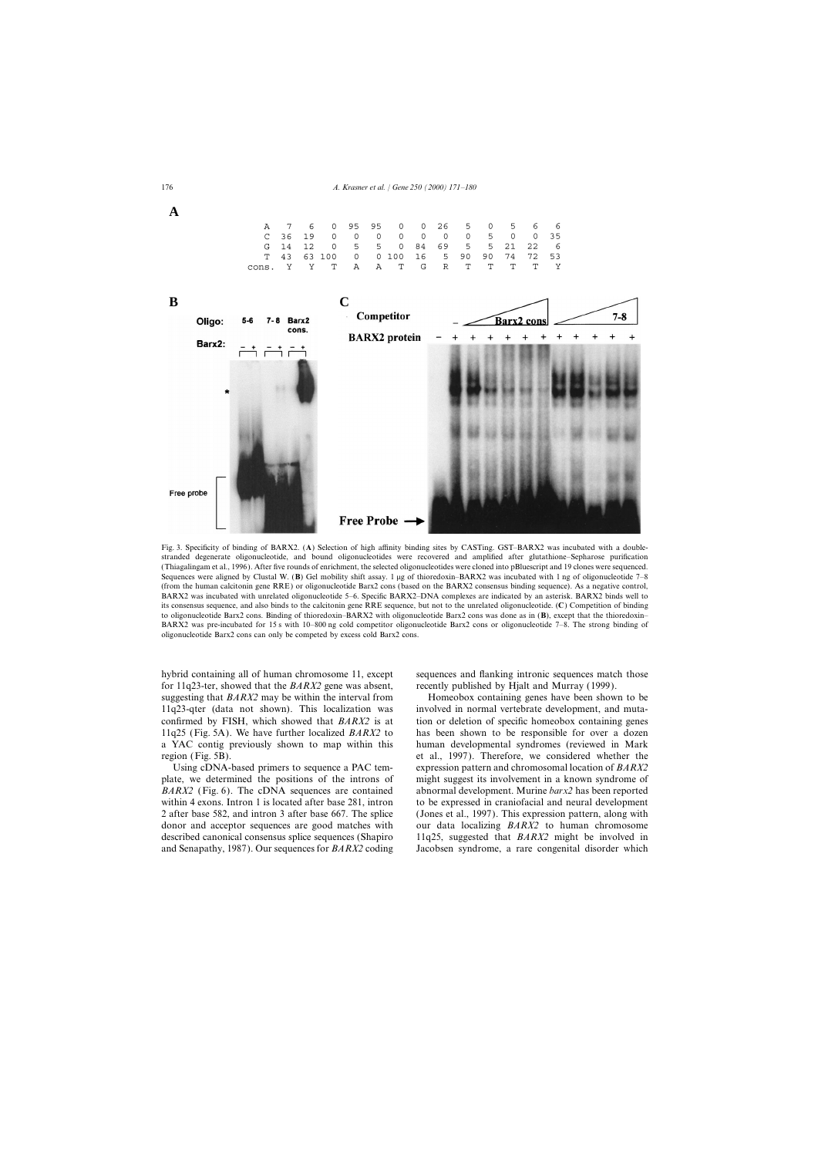



Fig. 3. Specificity of binding of BARX2. (**A**) Selection of high affinity binding sites by CASTing. GST–BARX2 was incubated with a doublestranded degenerate oligonucleotide, and bound oligonucleotides were recovered and amplified after glutathione–Sepharose purification (Thiagalingam et al., 1996). After five rounds of enrichment, the selected oligonucleotides were cloned into pBluescript and 19 clones were sequenced. Sequences were aligned by Clustal W. (B) Gel mobility shift assay. 1 µg of thioredoxin–BARX2 was incubated with 1 ng of oligonucleotide 7–8 (from the human calcitonin gene RRE) or oligonucleotide Barx2 cons (based on the BARX2 consensus binding sequence). As a negative control, BARX2 was incubated with unrelated oligonucleotide 5–6. Specific BARX2–DNA complexes are indicated by an asterisk. BARX2 binds well to its consensus sequence, and also binds to the calcitonin gene RRE sequence, but not to the unrelated oligonucleotide. (**C**) Competition of binding to oligonucleotide Barx2 cons. Binding of thioredoxin–BARX2 with oligonucleotide Barx2 cons was done as in (**B**), except that the thioredoxin– BARX2 was pre-incubated for 15 s with 10–800 ng cold competitor oligonucleotide Barx2 cons or oligonucleotide 7–8. The strong binding of oligonucleotide Barx2 cons can only be competed by excess cold Barx2 cons.

for 11q23-ter, showed that the *BARX2* gene was absent, recently published by Hjalt and Murray (1999). suggesting that *BARX2* may be within the interval from Homeobox containing genes have been shown to be 11q23-qter (data not shown). This localization was involved in normal vertebrate development, and mutaconfirmed by FISH, which showed that *BARX2* is at tion or deletion of specific homeobox containing genes 11q25 (Fig. 5A). We have further localized *BARX2* to has been shown to be responsible for over a dozen a YAC contig previously shown to map within this human developmental syndromes (reviewed in Mark region (Fig. 5B). et al., 1997). Therefore, we considered whether the

plate, we determined the positions of the introns of might suggest its involvement in a known syndrome of *BARX2* (Fig. 6). The cDNA sequences are contained abnormal development. Murine *barx2* has been reported within 4 exons. Intron 1 is located after base 281, intron to be expressed in craniofacial and neural development 2 after base 582, and intron 3 after base 667. The splice (Jones et al., 1997). This expression pattern, along with donor and acceptor sequences are good matches with our data localizing *BARX2* to human chromosome described canonical consensus splice sequences (Shapiro 11q25, suggested that *BARX2* might be involved in and Senapathy, 1987). Our sequences for *BARX2* coding Jacobsen syndrome, a rare congenital disorder which

hybrid containing all of human chromosome 11, except sequences and flanking intronic sequences match those

Using cDNA-based primers to sequence a PAC tem- expression pattern and chromosomal location of *BARX2*

**A**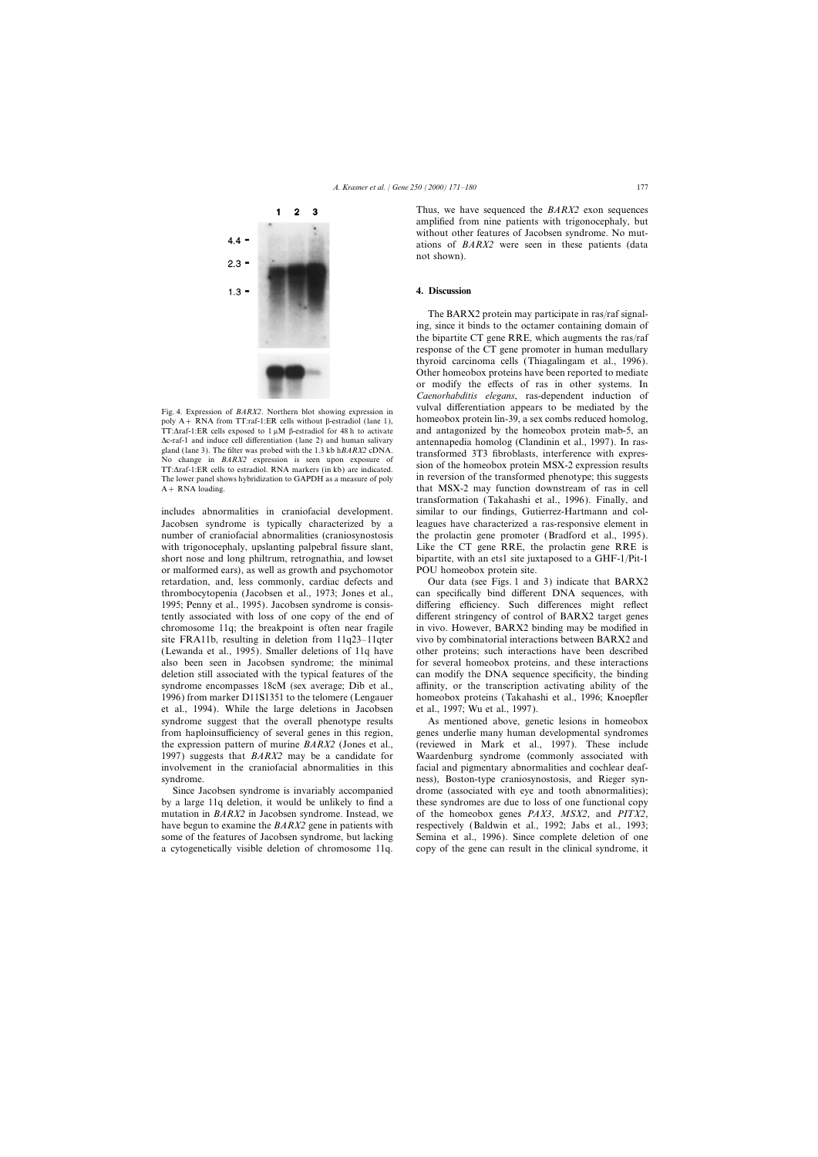

 $1.3'$ 

The lower panel shows hybridization to GAPDH as a measure of poly

Jacobsen syndrome is typically characterized by a leagues have characterized a ras-responsive element in number of craniofacial abnormalities (craniosynostosis the prolactin gene promoter (Bradford et al., 1995). with trigonocephaly, upslanting palpebral fissure slant, Like the CT gene RRE, the prolactin gene RRE is short nose and long philtrum, retrognathia, and lowset bipartite, with an ets1 site juxtaposed to a GHF-1/Pit-1 or malformed ears), as well as growth and psychomotor POU homeobox protein site. retardation, and, less commonly, cardiac defects and Our data (see Figs. 1 and 3) indicate that BARX2 thrombocytopenia (Jacobsen et al., 1973; Jones et al., can specifically bind different DNA sequences, with 1995; Penny et al., 1995). Jacobsen syndrome is consis- differing efficiency. Such differences might reflect tently associated with loss of one copy of the end of different stringency of control of BARX2 target genes chromosome 11q; the breakpoint is often near fragile in vivo. However, BARX2 binding may be modified in site FRA11b, resulting in deletion from 11q23–11qter vivo by combinatorial interactions between BARX2 and (Lewanda et al., 1995). Smaller deletions of 11q have other proteins; such interactions have been described also been seen in Jacobsen syndrome; the minimal for several homeobox proteins, and these interactions deletion still associated with the typical features of the can modify the DNA sequence specificity, the binding syndrome encompasses 18cM (sex average; Dib et al., affinity, or the transcription activating ability of the 1996) from marker D11S1351 to the telomere (Lengauer homeobox proteins (Takahashi et al., 1996; Knoepfler et al., 1994). While the large deletions in Jacobsen et al., 1997; Wu et al., 1997). syndrome suggest that the overall phenotype results As mentioned above, genetic lesions in homeobox from haploinsufficiency of several genes in this region, genes underlie many human developmental syndromes the expression pattern of murine *BARX2* (Jones et al., (reviewed in Mark et al., 1997). These include 1997) suggests that *BARX2* may be a candidate for Waardenburg syndrome (commonly associated with involvement in the craniofacial abnormalities in this facial and pigmentary abnormalities and cochlear deafsyndrome. **ness**), Boston-type craniosynostosis, and Rieger syn-

by a large 11q deletion, it would be unlikely to find a these syndromes are due to loss of one functional copy mutation in *BARX2* in Jacobsen syndrome. Instead, we of the homeobox genes *PAX3*, *MSX2*, and *PITX2*, have begun to examine the *BARX2* gene in patients with respectively (Baldwin et al., 1992; Jabs et al., 1993; some of the features of Jacobsen syndrome, but lacking Semina et al., 1996). Since complete deletion of one a cytogenetically visible deletion of chromosome 11q. copy of the gene can result in the clinical syndrome, it

Thus, we have sequenced the *BARX2* exon sequences amplified from nine patients with trigonocephaly, but without other features of Jacobsen syndrome. No mutations of *BARX2* were seen in these patients (data not shown).

## **4. Discussion**

The BARX2 protein may participate in ras/raf signaling, since it binds to the octamer containing domain of the bipartite CT gene RRE, which augments the ras/raf response of the CT gene promoter in human medullary thyroid carcinoma cells (Thiagalingam et al., 1996). Other homeobox proteins have been reported to mediate or modify the effects of ras in other systems. In *Caenorhabditis elegans*, ras-dependent induction of Fig. 4. Expression of *BARX2*. Northern blot showing expression in vulval differentiation appears to be mediated by the poly  $A + RNA$  from TT:raf-1:ER cells without  $\beta$ -estradiol (lane 1), homeobox protein lin-39, a sex combs reduced homolog, TT: $\Delta$ raf-1:ER cells exposed to 1  $\mu$ M  $\beta$ -estradiol for 48 h to activate and antagonized by the homeobox protein mab-5, an  $\Delta$ c-raf-1 and induce cell differentiation (lane 2) and human salivary<br>
gland (lane 3). The filter was probed with the 1.3 kb h*BARX2* cDNA.<br>
No change in *BARX2* expression is seen upon exposure of<br>
TT: $\Delta$ raf-1:ER cell A+ RNA loading. that MSX-2 may function downstream of ras in cell transformation (Takahashi et al., 1996). Finally, and includes abnormalities in craniofacial development. similar to our findings, Gutierrez-Hartmann and col-

Since Jacobsen syndrome is invariably accompanied drome (associated with eye and tooth abnormalities);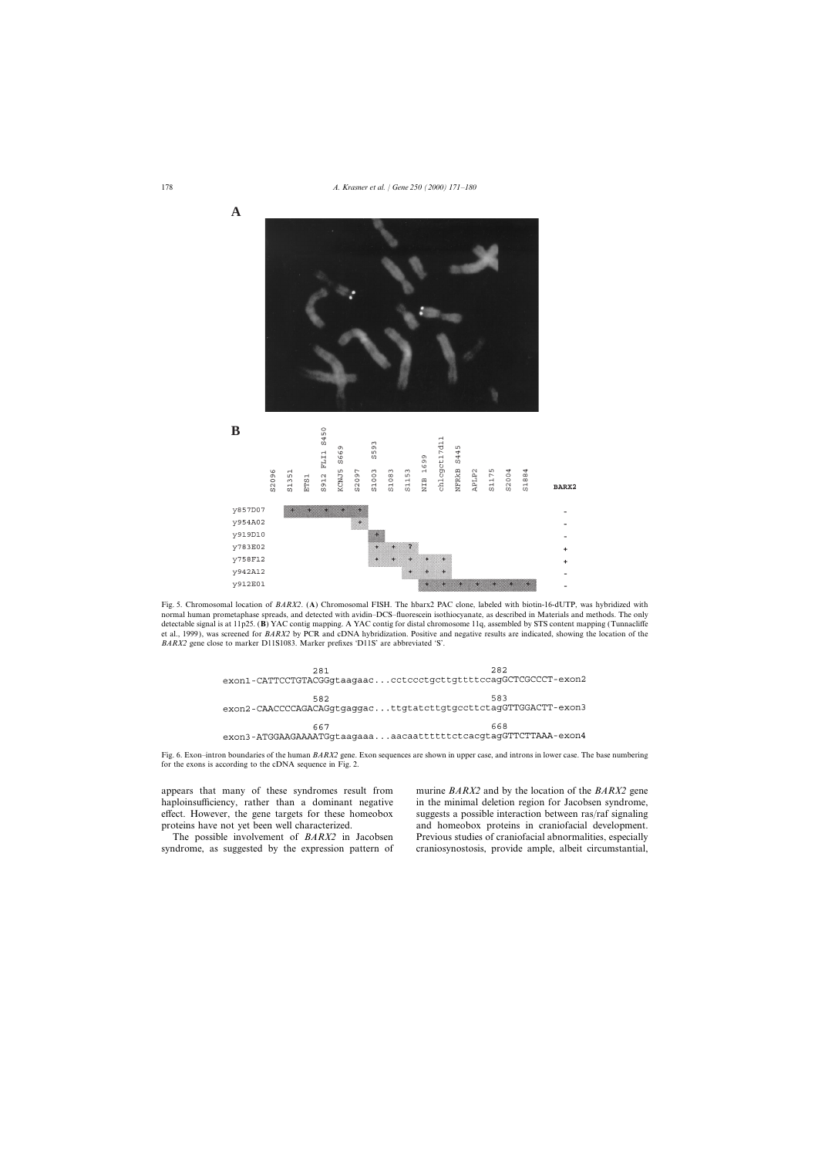

Fig. 5. Chromosomal location of *BARX2*. (**A**) Chromosomal FISH. The hbarx2 PAC clone, labeled with biotin-16-dUTP, was hybridized with normal human prometaphase spreads, and detected with avidin–DCS–fluorescein isothiocyanate, as described in Materials and methods. The only detectable signal is at 11p25. (**B**) YAC contig mapping. A YAC contig for distal chromosome 11q, assembled by STS content mapping (Tunnacliffe et al., 1999), was screened for *BARX2* by PCR and cDNA hybridization. Positive and negative results are indicated, showing the location of the *BARX2* gene close to marker D11S1083. Marker prefixes 'D11S' are abbreviated 'S'.



Fig. 6. Exon–intron boundaries of the human *BARX2* gene. Exon sequences are shown in upper case, and introns in lower case. The base numbering for the exons is according to the cDNA sequence in Fig. 2.

haploinsufficiency, rather than a dominant negative in the minimal deletion region for Jacobsen syndrome, effect. However, the gene targets for these homeobox suggests a possible interaction between ras/raf signaling proteins have not yet been well characterized. and homeobox proteins in craniofacial development.

syndrome, as suggested by the expression pattern of craniosynostosis, provide ample, albeit circumstantial,

appears that many of these syndromes result from murine *BARX2* and by the location of the *BARX2* gene The possible involvement of *BARX2* in Jacobsen Previous studies of craniofacial abnormalities, especially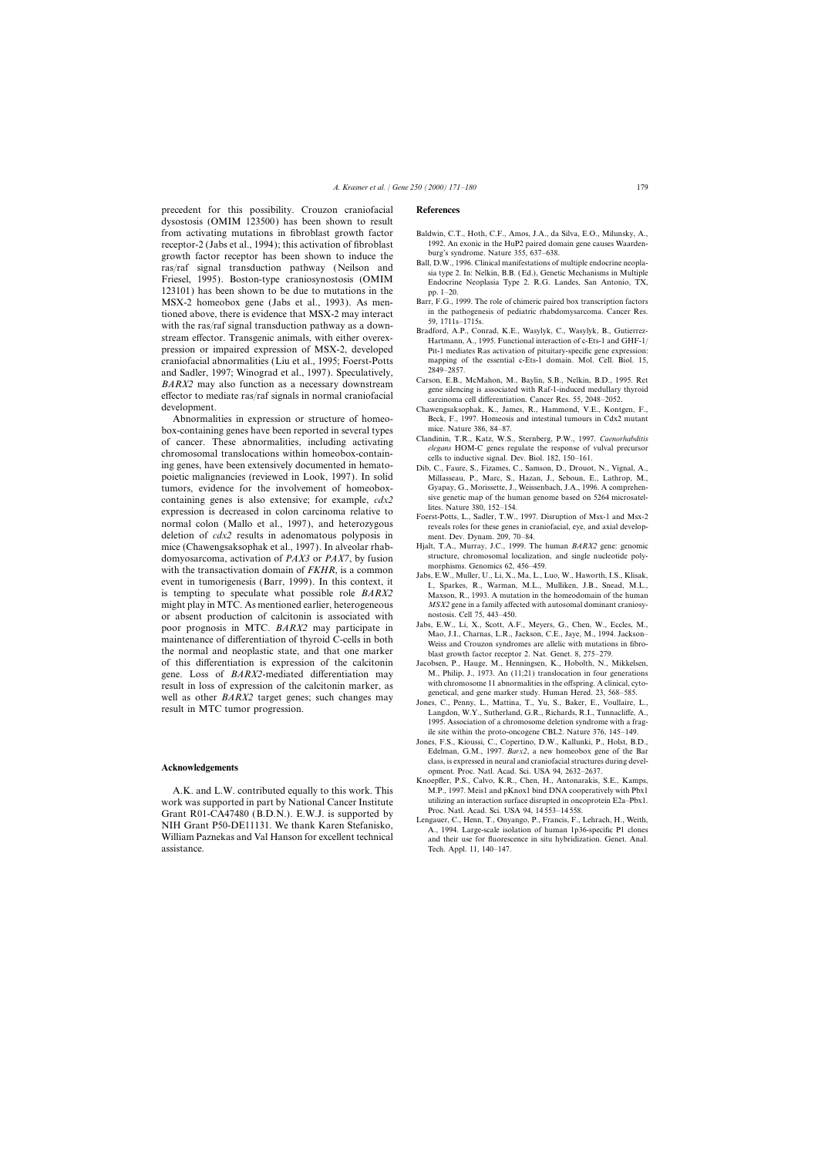precedent for this possibility. Crouzon craniofacial **References** dysostosis (OMIM 123500) has been shown to result from activating mutations in fibroblast growth factor Baldwin, C.T., Hoth, C.F., Amos, J.A., da Silva, E.O., Milunsky, A., receptor-2 (Jabs et al., 1994); this activation of fibroblast 1992. An exonic in the HuP2 paired domain gene causes Waarden-<br>
receptor receptor has been shown to induce the burg's syndrome. Nature 355, 637–638. growth factor receptor has been shown to induce the<br>
ras/raf signal transduction pathway (Neilson and<br>
Friesel, 1995). Boston-type craniosynostosis (OMIM<br>
Friesel, 1995). Boston-type craniosynostosis (OMIM<br>
Endocrine Neopl 123101) has been shown to be due to mutations in the pp.  $1-20$ . MSX-2 homeobox gene (Jabs et al., 1993). As men-<br>
in the pathogenesis of pediatric rhabdomysarcoma. Cancer Res.<br>
in the pathogenesis of pediatric rhabdomysarcoma. Cancer Res. tioned above, there is evidence that MSX-2 may interact<br>with the ras/raf signal transduction pathway as a down-<br>stream effector. Transgenic animals, with either overex-<br>Hartmann, A., 1995. Functional interaction of c-Ets-1 pression or impaired expression of MSX-2, developed Pit-1 mediates Ras activation of pituitary-specific gene expression: craniofacial abnormalities (Liu et al., 1995; Foerst-Potts mapping of the essential c-Ets-1 domain. Mol. Cell. Biol. 15, and Sodler 1997; Winograd et al. 1997). Speculatively 2849–2857. and Sadler, 1997; Winograd et al., 1997). Speculatively,  $\frac{2849-2857}{2849-2857}$ .<br>  $\frac{1997}{2849-2857}$  Carson, E.B., McMahon, M., Baylin, S.B., Nelkin, B.D., 1995. Ret<br>
gene silencing is associated with Raf-1-induced m effector to mediate ras/raf signals in normal craniofacial carrieration. Cancer Res. 55, 2048–2052.<br>
development. Changes archive a carcinoma cell differentiation. Cancer Res. 55, 2048–2052.

box-containing genes have been reported in several types mice. Nature 386, 84–87.<br>
cf. concer. These obnormalities, including estivating Clandinin, T.R., Katz, W.S., Sternberg, P.W., 1997. Caenorhabditis of cancer. These abnormalities, including activating<br>chromosomal translocations within homeobox-contain-<br>ing genes, have been extensively documented in hemato-<br>bib C Faure S, Fizames C Samson D, Drougt N, Vignal A poietic malignancies (reviewed in Look, 1997). In solid Millasseau, P., Marc, S., Hazan, J., Seboun, E., Lathrop, M., tumors, evidence for the involvement of homeobox-<br>Containing genes is also extensive: for example  $cdx^2$  sive genetic map of the human genome based on 5264 microsatelcontaining genes is also extensive; for example,  $cdx^2$  sive genetic map of the human generalism is decreased in solar example,  $cdx^2$  lites. Nature 380, 152–154. expression is decreased in colon carcinoma relative to<br>normal colon (Mallo et al., 1997), and heterozygous<br>reveals roles for these genes in craniofacial, eye, and axial developdeletion of *cdx2* results in adenomatous polyposis in ment. Dev. Dynam. 209, 70–84. mice (Chawengsaksophak et al., 1997). In alveolar rhab-<br>
Hjalt, T.A., Murray, J.C., 1999. The human *BARX2* gene: genomic<br>
domyosarcoma activation of *PAX3* or *PAX7* by fusion structure, chromosomal localization, and sing domyosarcoma, activation of *PAX3* or *PAX7*, by fusion<br>with the transactivation domain of *FKHR*, is a common<br>went in tumorigenesis (Barr, 1999). In this context, it<br>l. Sparkes, R., Warman, M.L., Mulliken, J.B., Snead, M. is tempting to speculate what possible role *BARX2* Maxson, R., 1993. A mutation in the homeodomain of the human might play in MTC. As mentioned earlier, heterogeneous *MSX2* gene in a family affected with autosomal dominant craniosy-<br>or absent production of calcitonin is associated with nostosis. Cell 75, 443–450. or absent production of calcitonin is associated with<br>nostosis. Cell 75, 443–450.<br>labs, E.W., Li, X., Scott, A.F., Meyers, G., Chen, W., Eccles, M., poor prognosis in MTC. *BARX2* may participate in<br>maintenance of differentiation of thyroid C-cells in both<br>weiss and Crouzon syndromes are allelic with mutations in fibrothe normal and neoplastic state, and that one marker blast growth factor receptor 2. Nat. Genet. 8, 275–279. of this differentiation is expression of the calcitonin Jacobsen, P., Hauge, M., Henningsen, K., Hobolth, N., Mikkelsen, gene. Loss of *BARX2*-mediated differentiation may M., Philip, J., 1973. An (11;21) translocation in four generations regult in loss of expression of the colationin marker as with chromosome 11 abnormalities in the offspri result in loss of expression of the calcitonin marker, as<br>with chromosome II abnormalities in the offspring. A clinical, cyto-<br>well as other BARX2 target genes; such changes may<br>result in MTC tumor progression. Langdon, W.

work was supported in part by National Cancer Institute utilizing an interaction surface disrupted in oncorrection of  $C_{\text{ront}}$ . Part  $P(01)$   $C_A47480$  ( $B$   $D$   $N$ ). E W I is supported by Proc. Natl. Acad. Sci. USA–94, Grant R01-CA47480 (B.D.N.). E.W.J. is supported by<br>
MIH Grant P50-DE11131. We thank Karen Stefanisko,<br>
William Paznekas and Val Hanson for excellent technical<br>
William Paznekas and Val Hanson for excellent technical<br>
and t assistance. Tech. Appl. 11, 140–147.

- 
- 
- 
- 
- 
- Chawengsaksophak, K., James, R., Hammond, V.E., Kontgen, F., Abnormalities in expression or structure of homeo- Beck, F., 1997. Homeosis and intestinal tumours in Cdx2 mutant
	-
	- Dib, C., Faure, S., Fizames, C., Samson, D., Drouot, N., Vignal, A.,
	-
	-
	-
	-
	-
	- 1995. Association of a chromosome deletion syndrome with a fragile site within the proto-oncogene CBL2. Nature 376, 145–149.
- Jones, F.S., Kioussi, C., Copertino, D.W., Kallunki, P., Holst, B.D., Edelman, G.M., 1997. *Barx2*, a new homeobox gene of the Bar class, is expressed in neural and craniofacial structures during devel- **Acknowledgements** opment. Proc. Natl. Acad. Sci. USA 94, 2632–2637.
	- Knoepfler, P.S., Calvo, K.R., Chen, H., Antonarakis, S.E., Kamps, A.K. and L.W. contributed equally to this work. This M.P., 1997. Meis1 and pKnox1 bind DNA cooperatively with Pbx1<br>
	ork was supported in part by National Cancer Institute utilizing an interaction surface disrupted in oncop
		- and their use for fluorescence in situ hybridization. Genet. Anal.